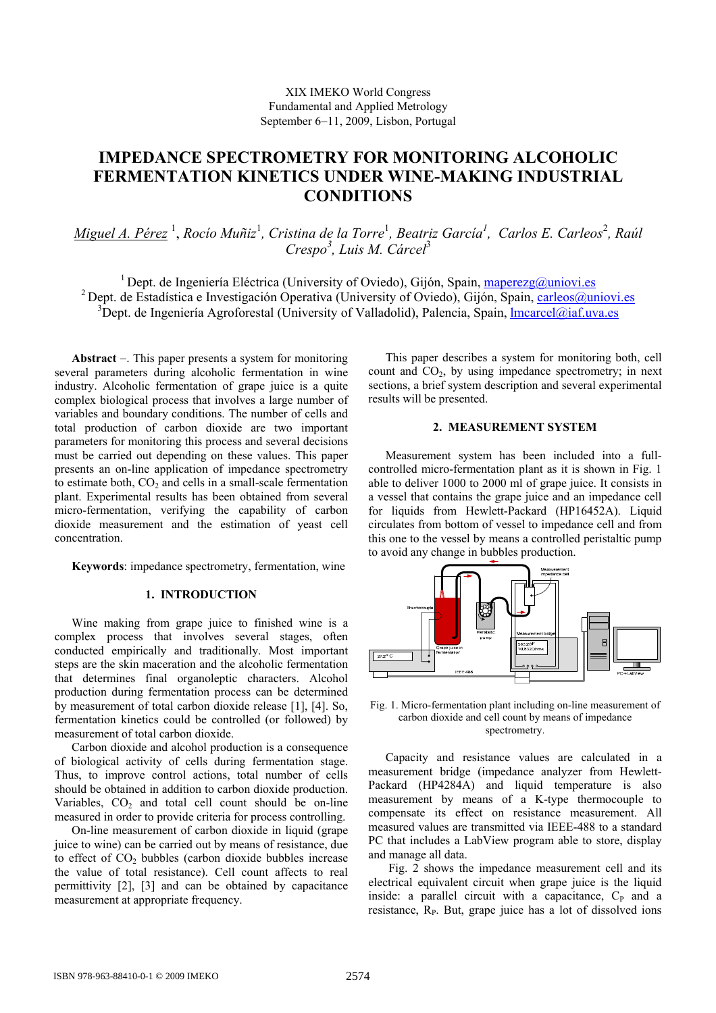# **IMPEDANCE SPECTROMETRY FOR MONITORING ALCOHOLIC FERMENTATION KINETICS UNDER WINE-MAKING INDUSTRIAL CONDITIONS**

*Miguel A. Pérez* <sup>1</sup> , *Rocío Muñiz*<sup>1</sup> *, Cristina de la Torre*<sup>1</sup> *, Beatriz García1 , Carlos E. Carleos*<sup>2</sup> *, Raúl Crespo<sup>3</sup> , Luis M. Cárcel*<sup>3</sup>

<sup>1</sup> Dept. de Ingeniería Eléctrica (University of Oviedo), Gijón, Spain, maperezg@uniovi.es <sup>2</sup> Dept. de Estadística e Investigación Operativa (University of Oviedo), Gijón, Spain, carleos@uniovi.es  $3\overline{D}$ ept. de Ingeniería Agroforestal (University of Valladolid), Palencia, Spain, Imcarcel@iaf.uva.es

**Abstract** −. This paper presents a system for monitoring several parameters during alcoholic fermentation in wine industry. Alcoholic fermentation of grape juice is a quite complex biological process that involves a large number of variables and boundary conditions. The number of cells and total production of carbon dioxide are two important parameters for monitoring this process and several decisions must be carried out depending on these values. This paper presents an on-line application of impedance spectrometry to estimate both,  $CO<sub>2</sub>$  and cells in a small-scale fermentation plant. Experimental results has been obtained from several micro-fermentation, verifying the capability of carbon dioxide measurement and the estimation of yeast cell concentration.

**Keywords**: impedance spectrometry, fermentation, wine

## **1. INTRODUCTION**

Wine making from grape juice to finished wine is a complex process that involves several stages, often conducted empirically and traditionally. Most important steps are the skin maceration and the alcoholic fermentation that determines final organoleptic characters. Alcohol production during fermentation process can be determined by measurement of total carbon dioxide release [1], [4]. So, fermentation kinetics could be controlled (or followed) by measurement of total carbon dioxide.

Carbon dioxide and alcohol production is a consequence of biological activity of cells during fermentation stage. Thus, to improve control actions, total number of cells should be obtained in addition to carbon dioxide production. Variables,  $CO<sub>2</sub>$  and total cell count should be on-line measured in order to provide criteria for process controlling.

On-line measurement of carbon dioxide in liquid (grape juice to wine) can be carried out by means of resistance, due to effect of  $CO<sub>2</sub>$  bubbles (carbon dioxide bubbles increase the value of total resistance). Cell count affects to real permittivity [2], [3] and can be obtained by capacitance measurement at appropriate frequency.

This paper describes a system for monitoring both, cell count and  $CO<sub>2</sub>$ , by using impedance spectrometry; in next sections, a brief system description and several experimental results will be presented.

# **2. MEASUREMENT SYSTEM**

Measurement system has been included into a fullcontrolled micro-fermentation plant as it is shown in Fig. 1 able to deliver 1000 to 2000 ml of grape juice. It consists in a vessel that contains the grape juice and an impedance cell for liquids from Hewlett-Packard (HP16452A). Liquid circulates from bottom of vessel to impedance cell and from this one to the vessel by means a controlled peristaltic pump to avoid any change in bubbles production.



Fig. 1. Micro-fermentation plant including on-line measurement of carbon dioxide and cell count by means of impedance spectrometry.

Capacity and resistance values are calculated in a measurement bridge (impedance analyzer from Hewlett-Packard (HP4284A) and liquid temperature is also measurement by means of a K-type thermocouple to compensate its effect on resistance measurement. All measured values are transmitted via IEEE-488 to a standard PC that includes a LabView program able to store, display and manage all data.

 Fig. 2 shows the impedance measurement cell and its electrical equivalent circuit when grape juice is the liquid inside: a parallel circuit with a capacitance,  $C_{P}$  and a resistance,  $R<sub>P</sub>$ . But, grape juice has a lot of dissolved ions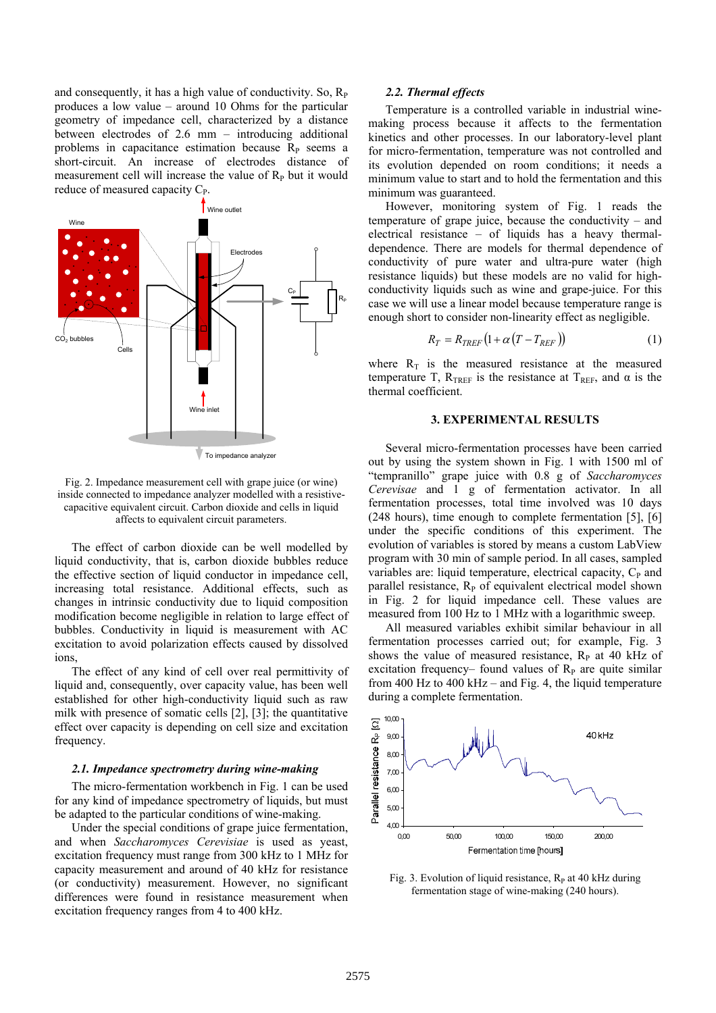and consequently, it has a high value of conductivity. So,  $R_{P}$ produces a low value – around 10 Ohms for the particular geometry of impedance cell, characterized by a distance between electrodes of 2.6 mm – introducing additional problems in capacitance estimation because  $R<sub>P</sub>$  seems a short-circuit. An increase of electrodes distance of measurement cell will increase the value of  $R<sub>P</sub>$  but it would reduce of measured capacity  $C_{P}$ .



Fig. 2. Impedance measurement cell with grape juice (or wine) inside connected to impedance analyzer modelled with a resistivecapacitive equivalent circuit. Carbon dioxide and cells in liquid affects to equivalent circuit parameters.

The effect of carbon dioxide can be well modelled by liquid conductivity, that is, carbon dioxide bubbles reduce the effective section of liquid conductor in impedance cell, increasing total resistance. Additional effects, such as changes in intrinsic conductivity due to liquid composition modification become negligible in relation to large effect of bubbles. Conductivity in liquid is measurement with AC excitation to avoid polarization effects caused by dissolved ions,

The effect of any kind of cell over real permittivity of liquid and, consequently, over capacity value, has been well established for other high-conductivity liquid such as raw milk with presence of somatic cells [2], [3]; the quantitative effect over capacity is depending on cell size and excitation frequency.

#### *2.1. Impedance spectrometry during wine-making*

The micro-fermentation workbench in Fig. 1 can be used for any kind of impedance spectrometry of liquids, but must be adapted to the particular conditions of wine-making.

Under the special conditions of grape juice fermentation, and when *Saccharomyces Cerevisiae* is used as yeast, excitation frequency must range from 300 kHz to 1 MHz for capacity measurement and around of 40 kHz for resistance (or conductivity) measurement. However, no significant differences were found in resistance measurement when excitation frequency ranges from 4 to 400 kHz.

#### *2.2. Thermal effects*

Temperature is a controlled variable in industrial winemaking process because it affects to the fermentation kinetics and other processes. In our laboratory-level plant for micro-fermentation, temperature was not controlled and its evolution depended on room conditions; it needs a minimum value to start and to hold the fermentation and this minimum was guaranteed.

However, monitoring system of Fig. 1 reads the temperature of grape juice, because the conductivity – and electrical resistance – of liquids has a heavy thermaldependence. There are models for thermal dependence of conductivity of pure water and ultra-pure water (high resistance liquids) but these models are no valid for highconductivity liquids such as wine and grape-juice. For this case we will use a linear model because temperature range is enough short to consider non-linearity effect as negligible.

$$
R_T = R_{TREF} \left( 1 + \alpha \left( T - T_{REF} \right) \right) \tag{1}
$$

where  $R_T$  is the measured resistance at the measured temperature T,  $R<sub>TREF</sub>$  is the resistance at T<sub>REF</sub>, and α is the thermal coefficient.

# **3. EXPERIMENTAL RESULTS**

Several micro-fermentation processes have been carried out by using the system shown in Fig. 1 with 1500 ml of "tempranillo" grape juice with 0.8 g of *Saccharomyces Cerevisae* and 1 g of fermentation activator. In all fermentation processes, total time involved was 10 days (248 hours), time enough to complete fermentation [5], [6] under the specific conditions of this experiment. The evolution of variables is stored by means a custom LabView program with 30 min of sample period. In all cases, sampled variables are: liquid temperature, electrical capacity,  $C_{P}$  and parallel resistance,  $R<sub>P</sub>$  of equivalent electrical model shown in Fig. 2 for liquid impedance cell. These values are measured from 100 Hz to 1 MHz with a logarithmic sweep.

All measured variables exhibit similar behaviour in all fermentation processes carried out; for example, Fig. 3 shows the value of measured resistance,  $R<sub>P</sub>$  at 40 kHz of excitation frequency– found values of  $R<sub>P</sub>$  are quite similar from 400 Hz to 400 kHz – and Fig. 4, the liquid temperature during a complete fermentation.



Fig. 3. Evolution of liquid resistance,  $R_P$  at 40 kHz during fermentation stage of wine-making (240 hours).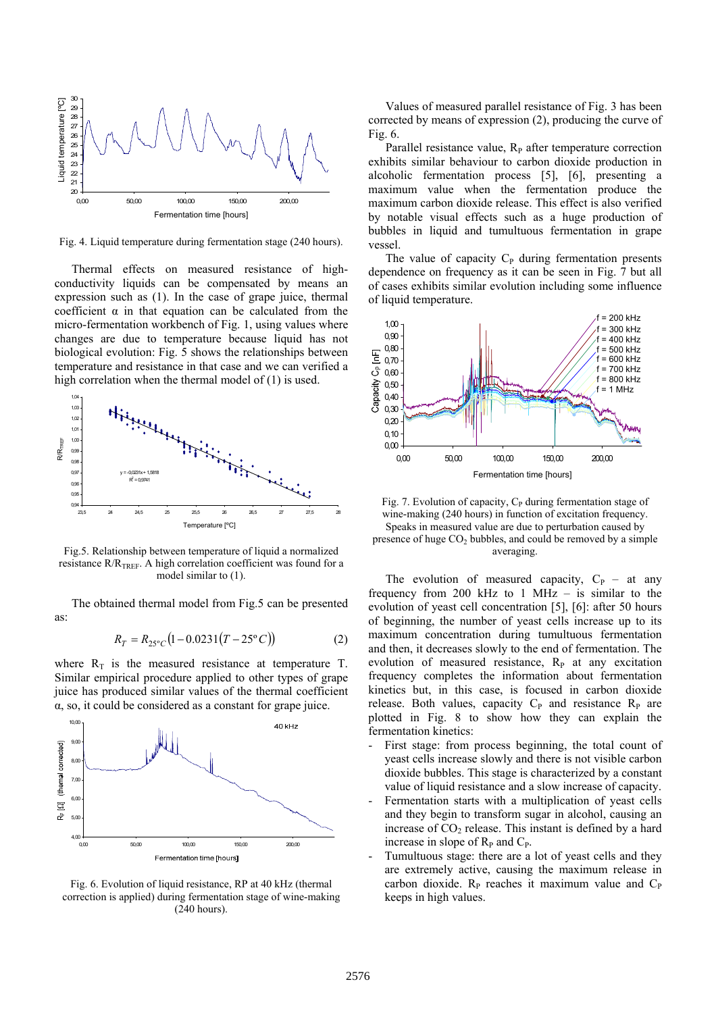

Fig. 4. Liquid temperature during fermentation stage (240 hours).

Thermal effects on measured resistance of highconductivity liquids can be compensated by means an expression such as (1). In the case of grape juice, thermal coefficient  $\alpha$  in that equation can be calculated from the micro-fermentation workbench of Fig. 1, using values where changes are due to temperature because liquid has not biological evolution: Fig. 5 shows the relationships between temperature and resistance in that case and we can verified a high correlation when the thermal model of (1) is used.



Fig.5. Relationship between temperature of liquid a normalized resistance  $R/R$ <sub>TREF</sub>. A high correlation coefficient was found for a model similar to (1).

The obtained thermal model from Fig.5 can be presented as:

$$
R_T = R_{25\degree C} (1 - 0.0231 (T - 25\degree C))
$$
 (2)

where  $R_T$  is the measured resistance at temperature T. Similar empirical procedure applied to other types of grape juice has produced similar values of the thermal coefficient α, so, it could be considered as a constant for grape juice.



Fig. 6. Evolution of liquid resistance, RP at 40 kHz (thermal correction is applied) during fermentation stage of wine-making (240 hours).

Values of measured parallel resistance of Fig. 3 has been corrected by means of expression (2), producing the curve of Fig. 6.

Parallel resistance value,  $R<sub>P</sub>$  after temperature correction exhibits similar behaviour to carbon dioxide production in alcoholic fermentation process [5], [6], presenting a maximum value when the fermentation produce the maximum carbon dioxide release. This effect is also verified by notable visual effects such as a huge production of bubbles in liquid and tumultuous fermentation in grape vessel.

The value of capacity  $C_P$  during fermentation presents dependence on frequency as it can be seen in Fig. 7 but all of cases exhibits similar evolution including some influence of liquid temperature.



Fig. 7. Evolution of capacity,  $C_P$  during fermentation stage of wine-making (240 hours) in function of excitation frequency. Speaks in measured value are due to perturbation caused by presence of huge  $CO<sub>2</sub>$  bubbles, and could be removed by a simple averaging.

The evolution of measured capacity,  $C_P$  – at any frequency from 200 kHz to 1 MHz – is similar to the evolution of yeast cell concentration [5], [6]: after 50 hours of beginning, the number of yeast cells increase up to its maximum concentration during tumultuous fermentation and then, it decreases slowly to the end of fermentation. The evolution of measured resistance,  $R_P$  at any excitation frequency completes the information about fermentation kinetics but, in this case, is focused in carbon dioxide release. Both values, capacity  $C_P$  and resistance  $R_P$  are plotted in Fig. 8 to show how they can explain the fermentation kinetics:

- First stage: from process beginning, the total count of yeast cells increase slowly and there is not visible carbon dioxide bubbles. This stage is characterized by a constant value of liquid resistance and a slow increase of capacity.
- Fermentation starts with a multiplication of yeast cells and they begin to transform sugar in alcohol, causing an increase of  $CO<sub>2</sub>$  release. This instant is defined by a hard increase in slope of  $R<sub>P</sub>$  and  $C<sub>P</sub>$ .
- Tumultuous stage: there are a lot of yeast cells and they are extremely active, causing the maximum release in carbon dioxide.  $R<sub>P</sub>$  reaches it maximum value and  $C<sub>P</sub>$ keeps in high values.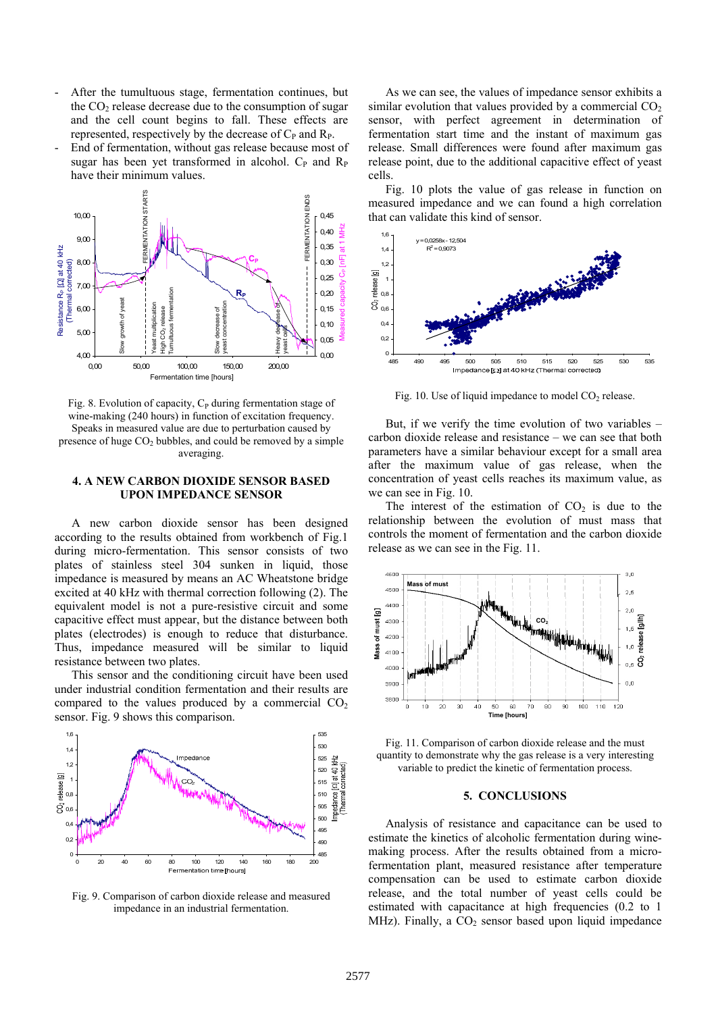- After the tumultuous stage, fermentation continues, but the  $CO<sub>2</sub>$  release decrease due to the consumption of sugar and the cell count begins to fall. These effects are represented, respectively by the decrease of  $C_P$  and  $R_P$ .
- End of fermentation, without gas release because most of sugar has been yet transformed in alcohol.  $C_{P}$  and  $R_{P}$ have their minimum values.



Fig. 8. Evolution of capacity,  $C_P$  during fermentation stage of wine-making (240 hours) in function of excitation frequency. Speaks in measured value are due to perturbation caused by presence of huge  $CO<sub>2</sub>$  bubbles, and could be removed by a simple averaging.

## **4. A NEW CARBON DIOXIDE SENSOR BASED UPON IMPEDANCE SENSOR**

A new carbon dioxide sensor has been designed according to the results obtained from workbench of Fig.1 during micro-fermentation. This sensor consists of two plates of stainless steel 304 sunken in liquid, those impedance is measured by means an AC Wheatstone bridge excited at 40 kHz with thermal correction following (2). The equivalent model is not a pure-resistive circuit and some capacitive effect must appear, but the distance between both plates (electrodes) is enough to reduce that disturbance. Thus, impedance measured will be similar to liquid resistance between two plates.

This sensor and the conditioning circuit have been used under industrial condition fermentation and their results are compared to the values produced by a commercial  $CO<sub>2</sub>$ sensor. Fig. 9 shows this comparison.



Fig. 9. Comparison of carbon dioxide release and measured impedance in an industrial fermentation.

As we can see, the values of impedance sensor exhibits a similar evolution that values provided by a commercial  $CO<sub>2</sub>$ sensor, with perfect agreement in determination of fermentation start time and the instant of maximum gas release. Small differences were found after maximum gas release point, due to the additional capacitive effect of yeast cells.

Fig. 10 plots the value of gas release in function on measured impedance and we can found a high correlation that can validate this kind of sensor.



Fig. 10. Use of liquid impedance to model  $CO<sub>2</sub>$  release.

But, if we verify the time evolution of two variables – carbon dioxide release and resistance – we can see that both parameters have a similar behaviour except for a small area after the maximum value of gas release, when the concentration of yeast cells reaches its maximum value, as we can see in Fig. 10.

The interest of the estimation of  $CO<sub>2</sub>$  is due to the relationship between the evolution of must mass that controls the moment of fermentation and the carbon dioxide release as we can see in the Fig. 11.



Fig. 11. Comparison of carbon dioxide release and the must quantity to demonstrate why the gas release is a very interesting variable to predict the kinetic of fermentation process.

#### **5. CONCLUSIONS**

Analysis of resistance and capacitance can be used to estimate the kinetics of alcoholic fermentation during winemaking process. After the results obtained from a microfermentation plant, measured resistance after temperature compensation can be used to estimate carbon dioxide release, and the total number of yeast cells could be estimated with capacitance at high frequencies (0.2 to 1 MHz). Finally, a  $CO<sub>2</sub>$  sensor based upon liquid impedance